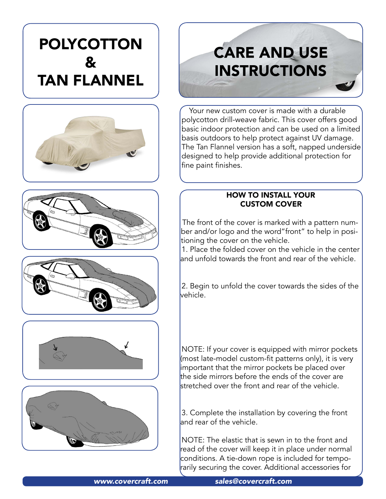# POLYCOTTON  $\mathbf{z}$ TAN FLANNEL











# **CARE AND USE INSTRUCTIONS**

Your new custom cover is made with a durable polycotton drill-weave fabric. This cover offers good basic indoor protection and can be used on a limited basis outdoors to help protect against UV damage. The Tan Flannel version has a soft, napped underside designed to help provide additional protection for fine paint finishes.

#### HOW TO INSTALL YOUR CUSTOM COVER

The front of the cover is marked with a pattern number and/or logo and the word"front" to help in positioning the cover on the vehicle.

1. Place the folded cover on the vehicle in the center and unfold towards the front and rear of the vehicle.

2. Begin to unfold the cover towards the sides of the vehicle.

NOTE: If your cover is equipped with mirror pockets (most late-model custom-fit patterns only), it is very important that the mirror pockets be placed over the side mirrors before the ends of the cover are stretched over the front and rear of the vehicle.

3. Complete the installation by covering the front and rear of the vehicle.

NOTE: The elastic that is sewn in to the front and read of the cover will keep it in place under normal conditions. A tie-down rope is included for temporarily securing the cover. Additional accessories for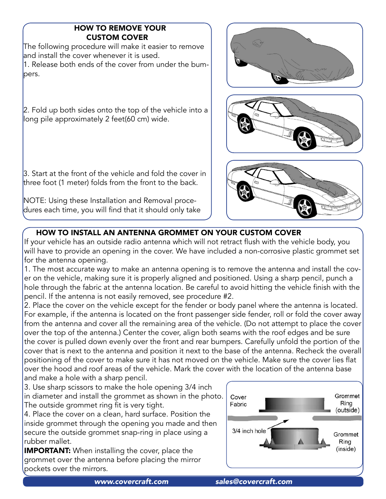# HOW TO REMOVE YOUR CUSTOM COVER

The following procedure will make it easier to remove and install the cover whenever it is used. 1. Release both ends of the cover from under the bumpers.

2. Fold up both sides onto the top of the vehicle into a long pile approximately 2 feet(60 cm) wide.

3. Start at the front of the vehicle and fold the cover in three foot (1 meter) folds from the front to the back.

NOTE: Using these Installation and Removal procedures each time, you will find that it should only take







# HOW TO INSTALL AN ANTENNA GROMMET ON YOUR CUSTOM COVER

If your vehicle has an outside radio antenna which will not retract flush with the vehicle body, you will have to provide an opening in the cover. We have included a non-corrosive plastic grommet set for the antenna opening.

1. The most accurate way to make an antenna opening is to remove the antenna and install the cover on the vehicle, making sure it is properly aligned and positioned. Using a sharp pencil, punch a hole through the fabric at the antenna location. Be careful to avoid hitting the vehicle finish with the pencil. If the antenna is not easily removed, see procedure #2.

2. Place the cover on the vehicle except for the fender or body panel where the antenna is located. For example, if the antenna is located on the front passenger side fender, roll or fold the cover away from the antenna and cover all the remaining area of the vehicle. (Do not attempt to place the cover over the top of the antenna.) Center the cover, align both seams with the roof edges and be sure the cover is pulled down evenly over the front and rear bumpers. Carefully unfold the portion of the cover that is next to the antenna and position it next to the base of the antenna. Recheck the overall positioning of the cover to make sure it has not moved on the vehicle. Make sure the cover lies flat over the hood and roof areas of the vehicle. Mark the cover with the location of the antenna base and make a hole with a sharp pencil.

3. Use sharp scissors to make the hole opening 3/4 inch in diameter and install the grommet as shown in the photo. The outside grommet ring fit is very tight.

4. Place the cover on a clean, hard surface. Position the inside grommet through the opening you made and then secure the outside grommet snap-ring in place using a rubber mallet.

**IMPORTANT:** When installing the cover, place the grommet over the antenna before placing the mirror pockets over the mirrors.

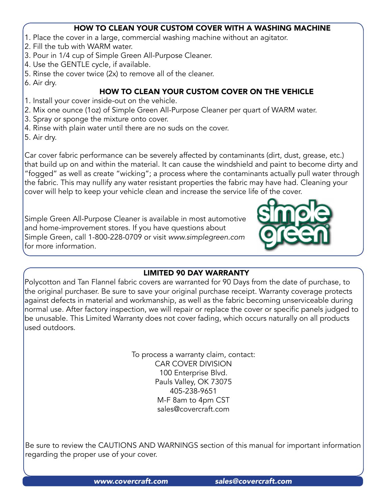#### HOW TO CLEAN YOUR CUSTOM COVER WITH A WASHING MACHINE

- 1. Place the cover in a large, commercial washing machine without an agitator.
- 2. Fill the tub with WARM water.
- 3. Pour in 1/4 cup of Simple Green All-Purpose Cleaner.
- 4. Use the GENTLE cycle, if available.
- 5. Rinse the cover twice (2x) to remove all of the cleaner.
- 6. Air dry.

# HOW TO CLEAN YOUR CUSTOM COVER ON THE VEHICLE

- 1. Install your cover inside-out on the vehicle.
- 2. Mix one ounce (1oz) of Simple Green All-Purpose Cleaner per quart of WARM water.
- 3. Spray or sponge the mixture onto cover.
- 4. Rinse with plain water until there are no suds on the cover.
- 5. Air dry.

Car cover fabric performance can be severely affected by contaminants (dirt, dust, grease, etc.) that build up on and within the material. It can cause the windshield and paint to become dirty and "fogged" as well as create "wicking"; a process where the contaminants actually pull water through the fabric. This may nullify any water resistant properties the fabric may have had. Cleaning your cover will help to keep your vehicle clean and increase the service life of the cover.

Simple Green All-Purpose Cleaner is available in most automotive and home-improvement stores. If you have questions about Simple Green, call 1-800-228-0709 or visit *<www.simplegreen.com>* for more information.



# LIMITED 90 DAY WARRANTY

Polycotton and Tan Flannel fabric covers are warranted for 90 Days from the date of purchase, to the original purchaser. Be sure to save your original purchase receipt. Warranty coverage protects against defects in material and workmanship, as well as the fabric becoming unserviceable during normal use. After factory inspection, we will repair or replace the cover or specific panels judged to be unusable. This Limited Warranty does not cover fading, which occurs naturally on all products used outdoors.

> To process a warranty claim, contact: CAR COVER DIVISION 100 Enterprise Blvd. Pauls Valley, OK 73075 405-238-9651 M-F 8am to 4pm CST [sales@covercraft.com](mailto:sales@covercraft.com)

Be sure to review the CAUTIONS AND WARNINGS section of this manual for important information regarding the proper use of your cover.